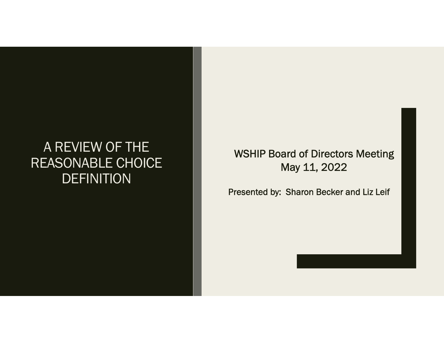### A REVIEW OF THE REASONABLE CHOICE DEFINITION

### WSHIP Board of Directors Meeting May 11, 2022

Presented by: Sharon Becker and Liz Leif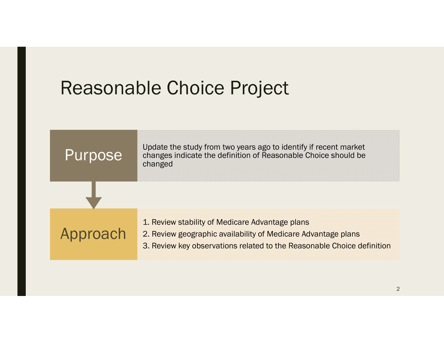## Reasonable Choice Project

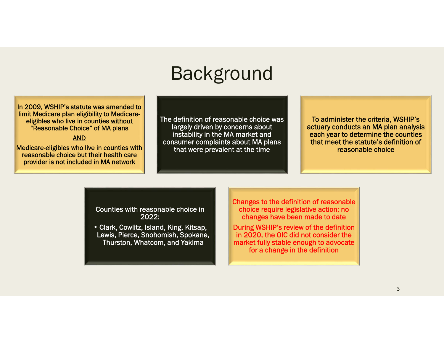### Background

In 2009, WSHIP's statute was amended to limit Medicare plan eligibility to Medicareeligibles who live in counties without "Reasonable Choice" of MA plans

#### AND

Medicare-eligibles who live in counties with reasonable choice but their health care provider is not included in MA network

The definition of reasonable choice was largely driven by concerns about instability in the MA market and consumer complaints about MA plans that were prevalent at the time

To administer the criteria, WSHIP's actuary conducts an MA plan analysis each year to determine the counties that meet the statute's definition of reasonable choice

Counties with reasonable choice in 2022:

• Clark, Cowlitz, Island, King, Kitsap, Lewis, Pierce, Snohomish, Spokane, Thurston, Whatcom, and Yakima

Changes to the definition of reasonable choice require legislative action; no changes have been made to date

During WSHIP's review of the definition in 2020, the OIC did not consider the market fully stable enough to advocate for a change in the definition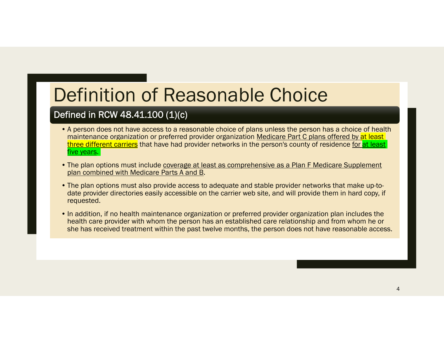## Definition of Reasonable Choice

### Defined in RCW 48.41.100 (1)(c)

- A person does not have access to a reasonable choice of plans unless the person has a choice of health maintenance organization or preferred provider organization Medicare Part C plans offered by at least three different carriers that have had provider networks in the person's county of residence for at least five years.
- The plan options must include <u>coverage at least as comprehensive as a Plan F Medicare Supplement</u> plan combined with Medicare Parts A and B.
- The plan options must also provide access to adequate and stable provider networks that make up-todate provider directories easily accessible on the carrier web site, and will provide them in hard copy, if requested.
- In addition, if no health maintenance organization or preferred provider organization plan includes the health care provider with whom the person has an established care relationship and from whom he or she has received treatment within the past twelve months, the person does not have reasonable access.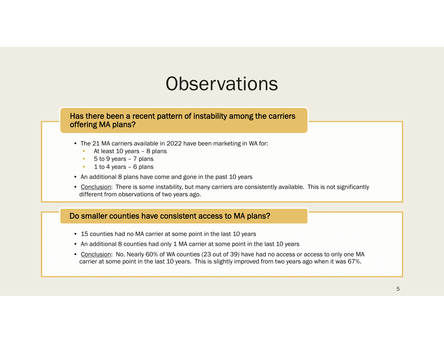### **Observations**

#### Has there been a recent pattern of instability among the carriers offering MA plans?

- The 21 MA carriers available in 2022 have been marketing in WA for:
	- At least 10 years 8 plans
	- •5 to 9 years – 7 plans
	- 1 to 4 years 6 plans
- An additional 8 plans have come and gone in the past 10 years
- Conclusion: There is some instability, but many carriers are consistently available. This is not significantly different from observations of two years ago.

### Do smaller counties have consistent access to MA plans?

- 15 counties had no MA carrier at some point in the last 10 years
- An additional 8 counties had only 1 MA carrier at some point in the last 10 years
- Conclusion: No. Nearly 60% of WA counties (23 out of 39) have had no access or access to only one MA carrier at some point in the last 10 years. This is slightly improved from two years ago when it was 67%.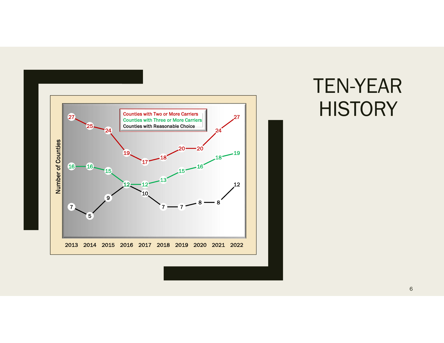

# TEN-YEAR HISTORY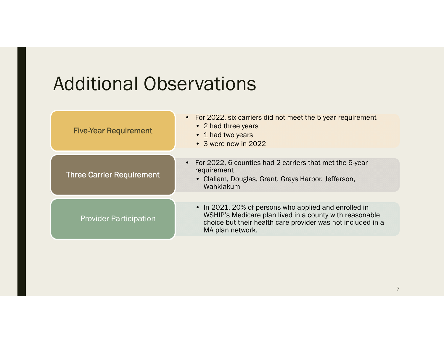## Additional Observations

| <b>Five-Year Requirement</b>     | • For 2022, six carriers did not meet the 5-year requirement<br>• 2 had three years<br>• 1 had two years<br>• 3 were new in 2022                                                                    |
|----------------------------------|-----------------------------------------------------------------------------------------------------------------------------------------------------------------------------------------------------|
| <b>Three Carrier Requirement</b> | For 2022, 6 counties had 2 carriers that met the 5-year<br>$\bullet$<br>requirement<br>• Clallam, Douglas, Grant, Grays Harbor, Jefferson,<br>Wahkiakum                                             |
| <b>Provider Participation</b>    | • In 2021, 20% of persons who applied and enrolled in<br>WSHIP's Medicare plan lived in a county with reasonable<br>choice but their health care provider was not included in a<br>MA plan network. |